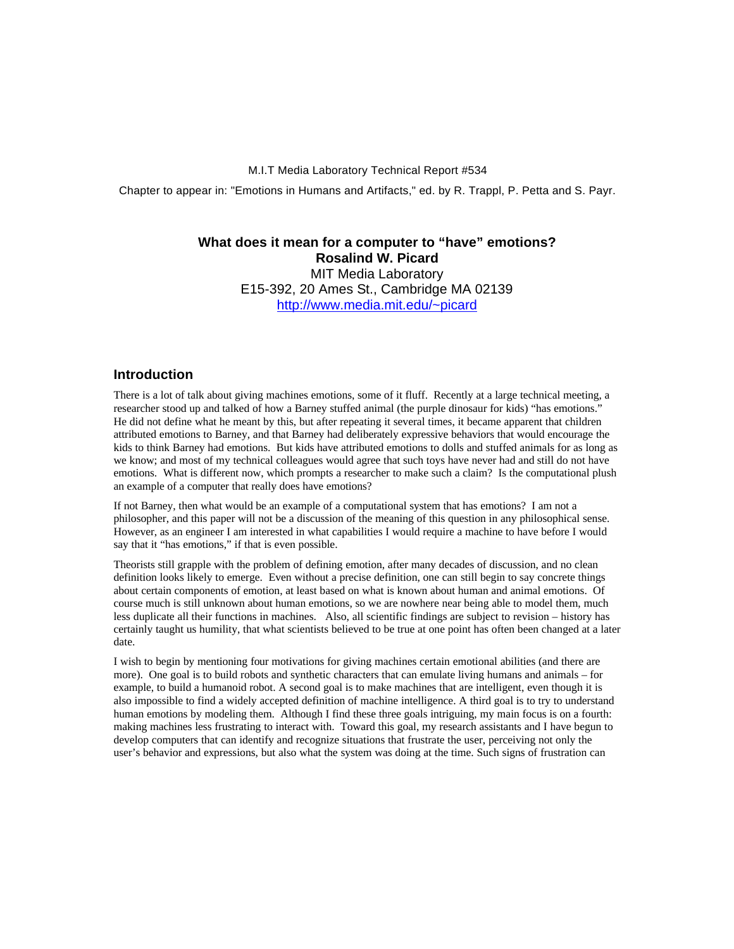M.I.T Media Laboratory Technical Report #534

Chapter to appear in: "Emotions in Humans and Artifacts," ed. by R. Trappl, P. Petta and S. Payr.

# **What does it mean for a computer to "have" emotions? Rosalind W. Picard**

MIT Media Laboratory E15-392, 20 Ames St., Cambridge MA 02139 http://www.media.mit.edu/~picard

# **Introduction**

There is a lot of talk about giving machines emotions, some of it fluff. Recently at a large technical meeting, a researcher stood up and talked of how a Barney stuffed animal (the purple dinosaur for kids) "has emotions." He did not define what he meant by this, but after repeating it several times, it became apparent that children attributed emotions to Barney, and that Barney had deliberately expressive behaviors that would encourage the kids to think Barney had emotions. But kids have attributed emotions to dolls and stuffed animals for as long as we know; and most of my technical colleagues would agree that such toys have never had and still do not have emotions. What is different now, which prompts a researcher to make such a claim? Is the computational plush an example of a computer that really does have emotions?

If not Barney, then what would be an example of a computational system that has emotions? I am not a philosopher, and this paper will not be a discussion of the meaning of this question in any philosophical sense. However, as an engineer I am interested in what capabilities I would require a machine to have before I would say that it "has emotions," if that is even possible.

Theorists still grapple with the problem of defining emotion, after many decades of discussion, and no clean definition looks likely to emerge. Even without a precise definition, one can still begin to say concrete things about certain components of emotion, at least based on what is known about human and animal emotions. Of course much is still unknown about human emotions, so we are nowhere near being able to model them, much less duplicate all their functions in machines. Also, all scientific findings are subject to revision – history has certainly taught us humility, that what scientists believed to be true at one point has often been changed at a later date.

I wish to begin by mentioning four motivations for giving machines certain emotional abilities (and there are more). One goal is to build robots and synthetic characters that can emulate living humans and animals – for example, to build a humanoid robot. A second goal is to make machines that are intelligent, even though it is also impossible to find a widely accepted definition of machine intelligence. A third goal is to try to understand human emotions by modeling them. Although I find these three goals intriguing, my main focus is on a fourth: making machines less frustrating to interact with. Toward this goal, my research assistants and I have begun to develop computers that can identify and recognize situations that frustrate the user, perceiving not only the user's behavior and expressions, but also what the system was doing at the time. Such signs of frustration can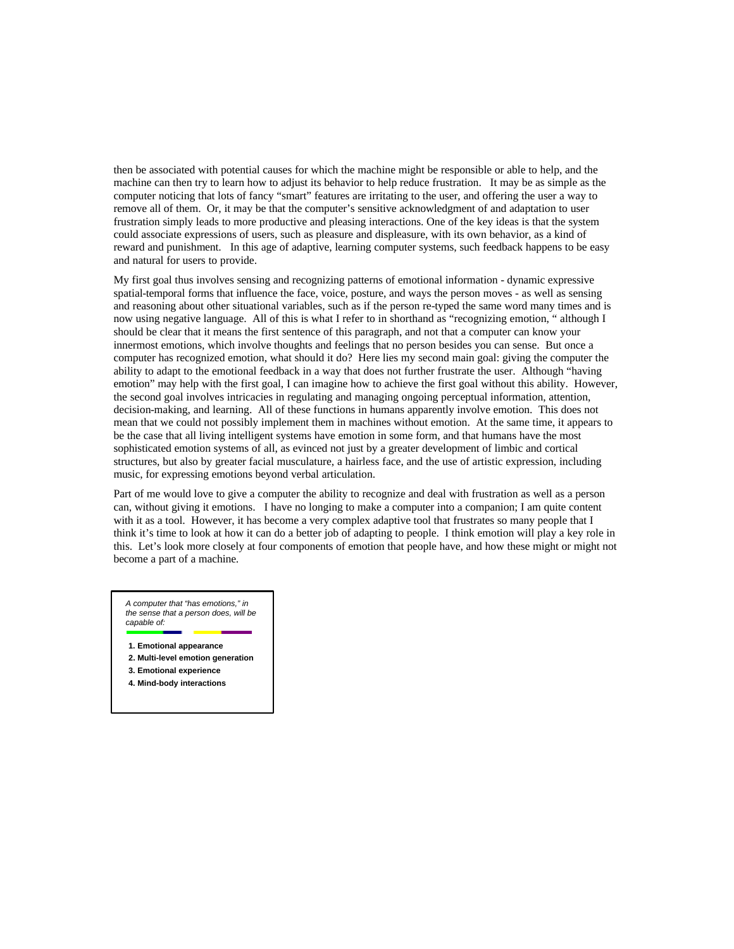then be associated with potential causes for which the machine might be responsible or able to help, and the machine can then try to learn how to adjust its behavior to help reduce frustration. It may be as simple as the computer noticing that lots of fancy "smart" features are irritating to the user, and offering the user a way to remove all of them. Or, it may be that the computer's sensitive acknowledgment of and adaptation to user frustration simply leads to more productive and pleasing interactions. One of the key ideas is that the system could associate expressions of users, such as pleasure and displeasure, with its own behavior, as a kind of reward and punishment. In this age of adaptive, learning computer systems, such feedback happens to be easy and natural for users to provide.

My first goal thus involves sensing and recognizing patterns of emotional information - dynamic expressive spatial-temporal forms that influence the face, voice, posture, and ways the person moves - as well as sensing and reasoning about other situational variables, such as if the person re-typed the same word many times and is now using negative language. All of this is what I refer to in shorthand as "recognizing emotion, " although I should be clear that it means the first sentence of this paragraph, and not that a computer can know your innermost emotions, which involve thoughts and feelings that no person besides you can sense. But once a computer has recognized emotion, what should it do? Here lies my second main goal: giving the computer the ability to adapt to the emotional feedback in a way that does not further frustrate the user. Although "having emotion" may help with the first goal, I can imagine how to achieve the first goal without this ability. However, the second goal involves intricacies in regulating and managing ongoing perceptual information, attention, decision-making, and learning. All of these functions in humans apparently involve emotion. This does not mean that we could not possibly implement them in machines without emotion. At the same time, it appears to be the case that all living intelligent systems have emotion in some form, and that humans have the most sophisticated emotion systems of all, as evinced not just by a greater development of limbic and cortical structures, but also by greater facial musculature, a hairless face, and the use of artistic expression, including music, for expressing emotions beyond verbal articulation.

Part of me would love to give a computer the ability to recognize and deal with frustration as well as a person can, without giving it emotions. I have no longing to make a computer into a companion; I am quite content with it as a tool. However, it has become a very complex adaptive tool that frustrates so many people that I think it's time to look at how it can do a better job of adapting to people. I think emotion will play a key role in this. Let's look more closely at four components of emotion that people have, and how these might or might not become a part of a machine.

*A computer that "has emotions," in the sense that a person does, will be capable of:*

- **1. Emotional appearance**
- **2. Multi-level emotion generation**
- **3. Emotional experience**
- **4. Mind-body interactions**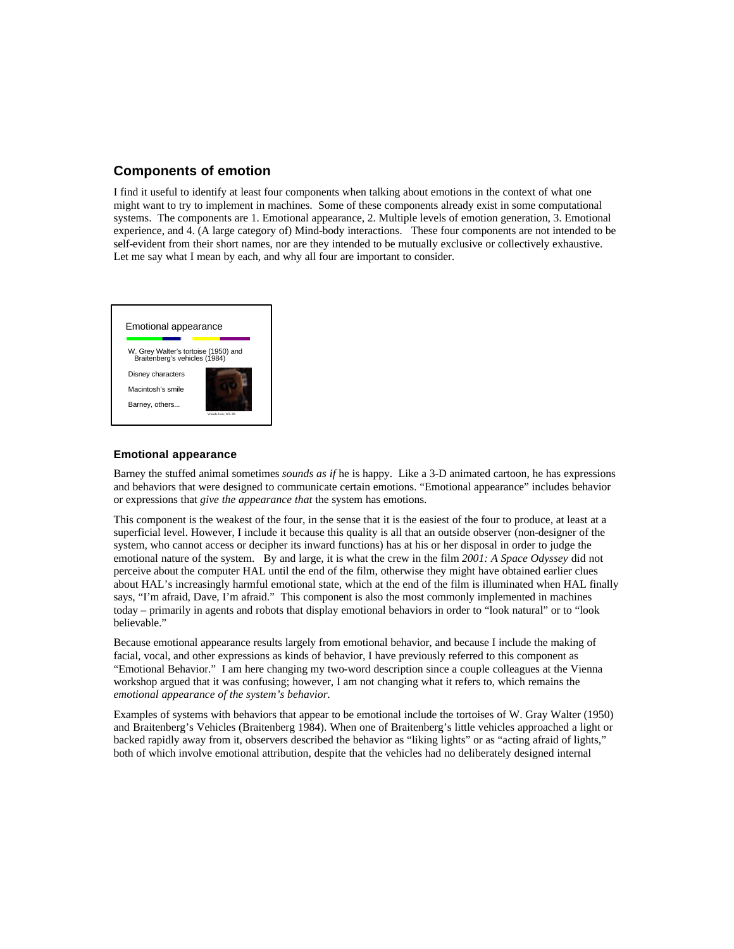# **Components of emotion**

I find it useful to identify at least four components when talking about emotions in the context of what one might want to try to implement in machines. Some of these components already exist in some computational systems. The components are 1. Emotional appearance, 2. Multiple levels of emotion generation, 3. Emotional experience, and 4. (A large category of) Mind-body interactions. These four components are not intended to be self-evident from their short names, nor are they intended to be mutually exclusive or collectively exhaustive. Let me say what I mean by each, and why all four are important to consider.



## **Emotional appearance**

Barney the stuffed animal sometimes *sounds as if* he is happy. Like a 3-D animated cartoon, he has expressions and behaviors that were designed to communicate certain emotions. "Emotional appearance" includes behavior or expressions that *give the appearance that* the system has emotions.

This component is the weakest of the four, in the sense that it is the easiest of the four to produce, at least at a superficial level. However, I include it because this quality is all that an outside observer (non-designer of the system, who cannot access or decipher its inward functions) has at his or her disposal in order to judge the emotional nature of the system. By and large, it is what the crew in the film *2001: A Space Odyssey* did not perceive about the computer HAL until the end of the film, otherwise they might have obtained earlier clues about HAL's increasingly harmful emotional state, which at the end of the film is illuminated when HAL finally says, "I'm afraid, Dave, I'm afraid." This component is also the most commonly implemented in machines today – primarily in agents and robots that display emotional behaviors in order to "look natural" or to "look believable."

Because emotional appearance results largely from emotional behavior, and because I include the making of facial, vocal, and other expressions as kinds of behavior, I have previously referred to this component as "Emotional Behavior." I am here changing my two-word description since a couple colleagues at the Vienna workshop argued that it was confusing; however, I am not changing what it refers to, which remains the *emotional appearance of the system's behavior*.

Examples of systems with behaviors that appear to be emotional include the tortoises of W. Gray Walter (1950) and Braitenberg's Vehicles (Braitenberg 1984). When one of Braitenberg's little vehicles approached a light or backed rapidly away from it, observers described the behavior as "liking lights" or as "acting afraid of lights," both of which involve emotional attribution, despite that the vehicles had no deliberately designed internal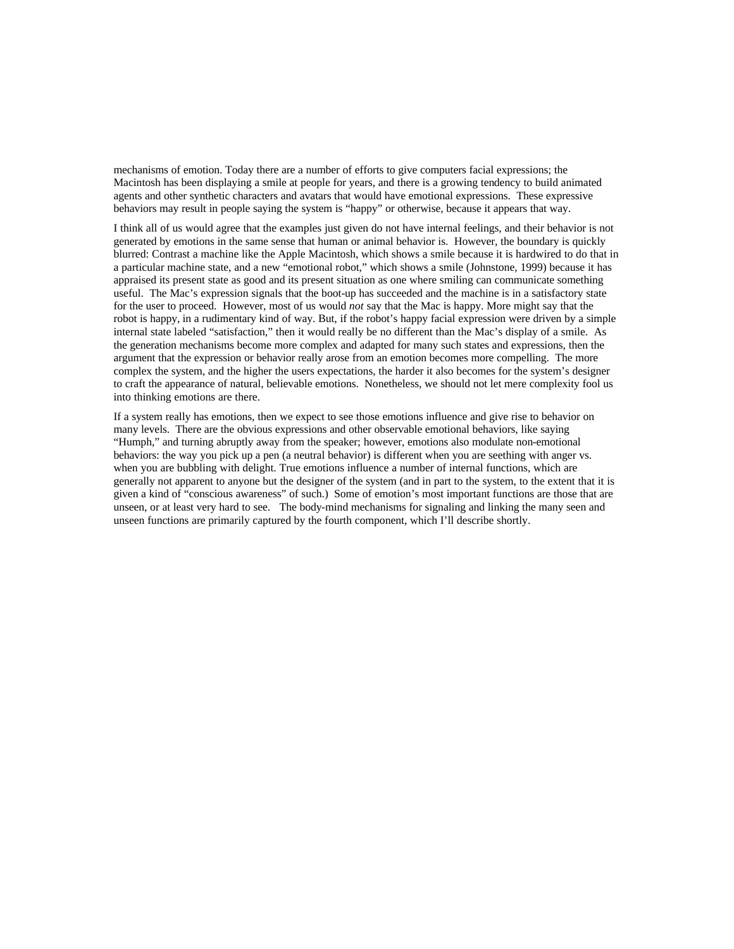mechanisms of emotion. Today there are a number of efforts to give computers facial expressions; the Macintosh has been displaying a smile at people for years, and there is a growing tendency to build animated agents and other synthetic characters and avatars that would have emotional expressions. These expressive behaviors may result in people saying the system is "happy" or otherwise, because it appears that way.

I think all of us would agree that the examples just given do not have internal feelings, and their behavior is not generated by emotions in the same sense that human or animal behavior is. However, the boundary is quickly blurred: Contrast a machine like the Apple Macintosh, which shows a smile because it is hardwired to do that in a particular machine state, and a new "emotional robot," which shows a smile (Johnstone, 1999) because it has appraised its present state as good and its present situation as one where smiling can communicate something useful. The Mac's expression signals that the boot-up has succeeded and the machine is in a satisfactory state for the user to proceed. However, most of us would *not* say that the Mac is happy. More might say that the robot is happy, in a rudimentary kind of way. But, if the robot's happy facial expression were driven by a simple internal state labeled "satisfaction," then it would really be no different than the Mac's display of a smile. As the generation mechanisms become more complex and adapted for many such states and expressions, then the argument that the expression or behavior really arose from an emotion becomes more compelling. The more complex the system, and the higher the users expectations, the harder it also becomes for the system's designer to craft the appearance of natural, believable emotions. Nonetheless, we should not let mere complexity fool us into thinking emotions are there.

If a system really has emotions, then we expect to see those emotions influence and give rise to behavior on many levels. There are the obvious expressions and other observable emotional behaviors, like saying "Humph," and turning abruptly away from the speaker; however, emotions also modulate non-emotional behaviors: the way you pick up a pen (a neutral behavior) is different when you are seething with anger vs. when you are bubbling with delight. True emotions influence a number of internal functions, which are generally not apparent to anyone but the designer of the system (and in part to the system, to the extent that it is given a kind of "conscious awareness" of such.) Some of emotion's most important functions are those that are unseen, or at least very hard to see. The body-mind mechanisms for signaling and linking the many seen and unseen functions are primarily captured by the fourth component, which I'll describe shortly.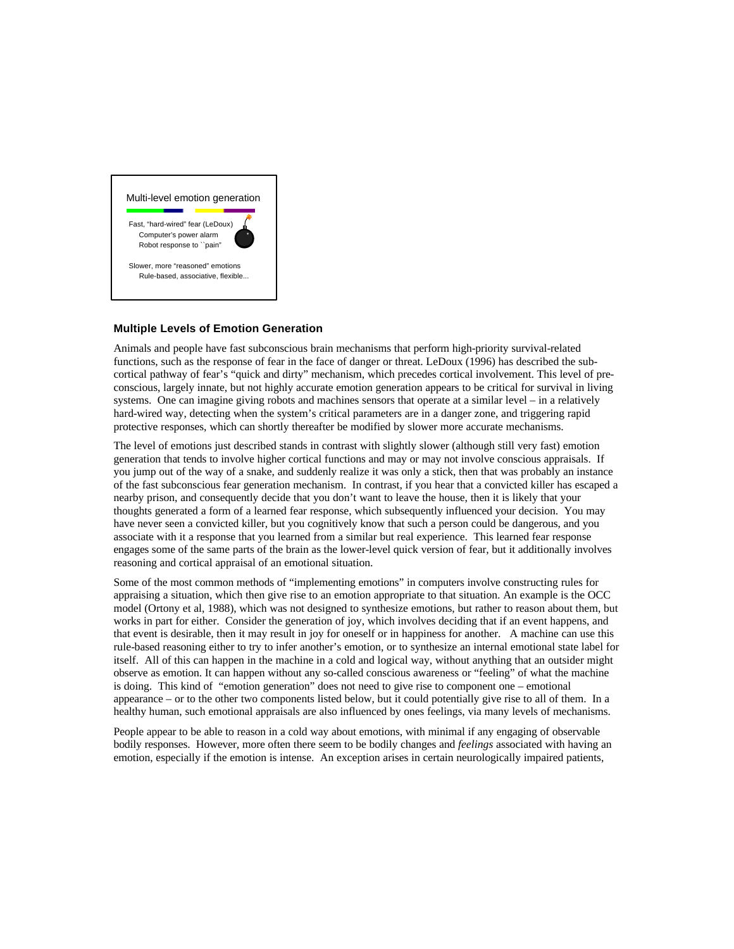

#### **Multiple Levels of Emotion Generation**

Animals and people have fast subconscious brain mechanisms that perform high-priority survival-related functions, such as the response of fear in the face of danger or threat. LeDoux (1996) has described the subcortical pathway of fear's "quick and dirty" mechanism, which precedes cortical involvement. This level of preconscious, largely innate, but not highly accurate emotion generation appears to be critical for survival in living systems. One can imagine giving robots and machines sensors that operate at a similar level – in a relatively hard-wired way, detecting when the system's critical parameters are in a danger zone, and triggering rapid protective responses, which can shortly thereafter be modified by slower more accurate mechanisms.

The level of emotions just described stands in contrast with slightly slower (although still very fast) emotion generation that tends to involve higher cortical functions and may or may not involve conscious appraisals. If you jump out of the way of a snake, and suddenly realize it was only a stick, then that was probably an instance of the fast subconscious fear generation mechanism. In contrast, if you hear that a convicted killer has escaped a nearby prison, and consequently decide that you don't want to leave the house, then it is likely that your thoughts generated a form of a learned fear response, which subsequently influenced your decision. You may have never seen a convicted killer, but you cognitively know that such a person could be dangerous, and you associate with it a response that you learned from a similar but real experience. This learned fear response engages some of the same parts of the brain as the lower-level quick version of fear, but it additionally involves reasoning and cortical appraisal of an emotional situation.

Some of the most common methods of "implementing emotions" in computers involve constructing rules for appraising a situation, which then give rise to an emotion appropriate to that situation. An example is the OCC model (Ortony et al, 1988), which was not designed to synthesize emotions, but rather to reason about them, but works in part for either. Consider the generation of joy, which involves deciding that if an event happens, and that event is desirable, then it may result in joy for oneself or in happiness for another. A machine can use this rule-based reasoning either to try to infer another's emotion, or to synthesize an internal emotional state label for itself. All of this can happen in the machine in a cold and logical way, without anything that an outsider might observe as emotion. It can happen without any so-called conscious awareness or "feeling" of what the machine is doing. This kind of "emotion generation" does not need to give rise to component one – emotional appearance – or to the other two components listed below, but it could potentially give rise to all of them. In a healthy human, such emotional appraisals are also influenced by ones feelings, via many levels of mechanisms.

People appear to be able to reason in a cold way about emotions, with minimal if any engaging of observable bodily responses. However, more often there seem to be bodily changes and *feelings* associated with having an emotion, especially if the emotion is intense. An exception arises in certain neurologically impaired patients,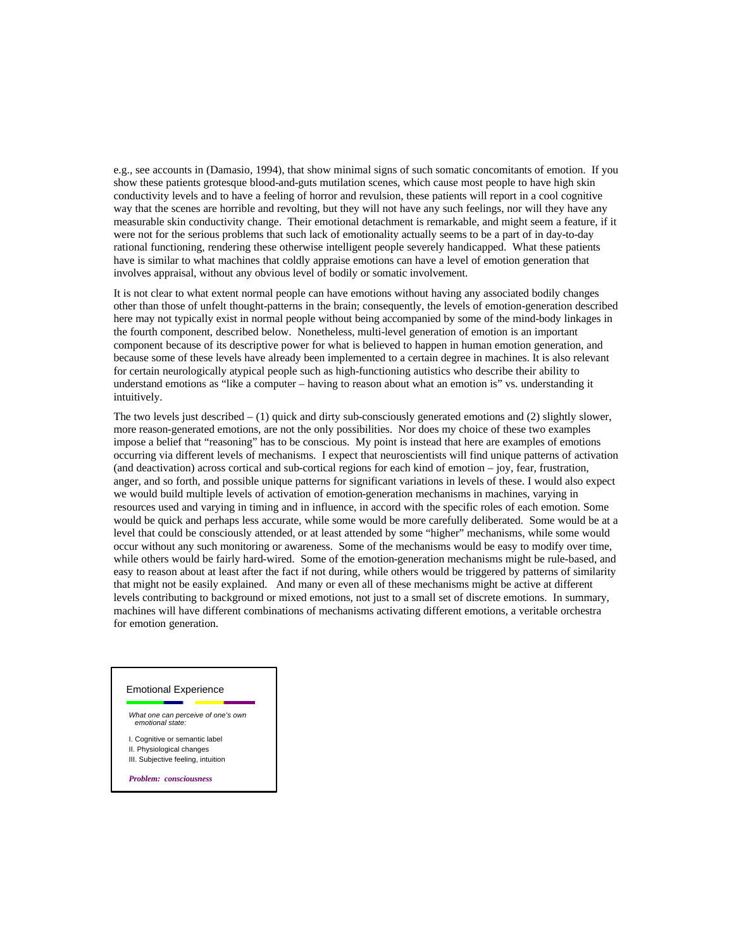e.g., see accounts in (Damasio, 1994), that show minimal signs of such somatic concomitants of emotion. If you show these patients grotesque blood-and-guts mutilation scenes, which cause most people to have high skin conductivity levels and to have a feeling of horror and revulsion, these patients will report in a cool cognitive way that the scenes are horrible and revolting, but they will not have any such feelings, nor will they have any measurable skin conductivity change. Their emotional detachment is remarkable, and might seem a feature, if it were not for the serious problems that such lack of emotionality actually seems to be a part of in day-to-day rational functioning, rendering these otherwise intelligent people severely handicapped. What these patients have is similar to what machines that coldly appraise emotions can have a level of emotion generation that involves appraisal, without any obvious level of bodily or somatic involvement.

It is not clear to what extent normal people can have emotions without having any associated bodily changes other than those of unfelt thought-patterns in the brain; consequently, the levels of emotion-generation described here may not typically exist in normal people without being accompanied by some of the mind-body linkages in the fourth component, described below. Nonetheless, multi-level generation of emotion is an important component because of its descriptive power for what is believed to happen in human emotion generation, and because some of these levels have already been implemented to a certain degree in machines. It is also relevant for certain neurologically atypical people such as high-functioning autistics who describe their ability to understand emotions as "like a computer – having to reason about what an emotion is" vs. understanding it intuitively.

The two levels just described  $- (1)$  quick and dirty sub-consciously generated emotions and  $(2)$  slightly slower, more reason-generated emotions, are not the only possibilities. Nor does my choice of these two examples impose a belief that "reasoning" has to be conscious. My point is instead that here are examples of emotions occurring via different levels of mechanisms. I expect that neuroscientists will find unique patterns of activation (and deactivation) across cortical and sub-cortical regions for each kind of emotion – joy, fear, frustration, anger, and so forth, and possible unique patterns for significant variations in levels of these. I would also expect we would build multiple levels of activation of emotion-generation mechanisms in machines, varying in resources used and varying in timing and in influence, in accord with the specific roles of each emotion. Some would be quick and perhaps less accurate, while some would be more carefully deliberated. Some would be at a level that could be consciously attended, or at least attended by some "higher" mechanisms, while some would occur without any such monitoring or awareness. Some of the mechanisms would be easy to modify over time, while others would be fairly hard-wired. Some of the emotion-generation mechanisms might be rule-based, and easy to reason about at least after the fact if not during, while others would be triggered by patterns of similarity that might not be easily explained. And many or even all of these mechanisms might be active at different levels contributing to background or mixed emotions, not just to a small set of discrete emotions. In summary, machines will have different combinations of mechanisms activating different emotions, a veritable orchestra for emotion generation.

#### Emotional Experience

*What one can perceive of one's own emotional state:*

- I. Cognitive or semantic label II. Physiological changes
- III. Subjective feeling, intuition

*Problem: consciousness*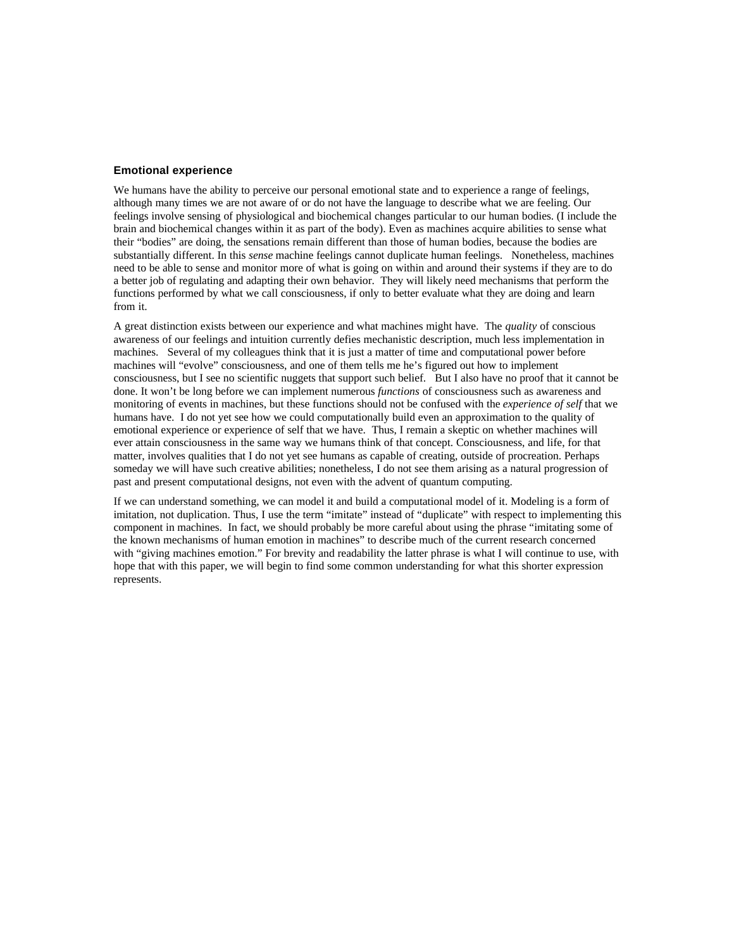#### **Emotional experience**

We humans have the ability to perceive our personal emotional state and to experience a range of feelings, although many times we are not aware of or do not have the language to describe what we are feeling. Our feelings involve sensing of physiological and biochemical changes particular to our human bodies. (I include the brain and biochemical changes within it as part of the body). Even as machines acquire abilities to sense what their "bodies" are doing, the sensations remain different than those of human bodies, because the bodies are substantially different. In this *sense* machine feelings cannot duplicate human feelings. Nonetheless, machines need to be able to sense and monitor more of what is going on within and around their systems if they are to do a better job of regulating and adapting their own behavior. They will likely need mechanisms that perform the functions performed by what we call consciousness, if only to better evaluate what they are doing and learn from it.

A great distinction exists between our experience and what machines might have. The *quality* of conscious awareness of our feelings and intuition currently defies mechanistic description, much less implementation in machines. Several of my colleagues think that it is just a matter of time and computational power before machines will "evolve" consciousness, and one of them tells me he's figured out how to implement consciousness, but I see no scientific nuggets that support such belief. But I also have no proof that it cannot be done. It won't be long before we can implement numerous *functions* of consciousness such as awareness and monitoring of events in machines, but these functions should not be confused with the *experience of self* that we humans have. I do not yet see how we could computationally build even an approximation to the quality of emotional experience or experience of self that we have. Thus, I remain a skeptic on whether machines will ever attain consciousness in the same way we humans think of that concept. Consciousness, and life, for that matter, involves qualities that I do not yet see humans as capable of creating, outside of procreation. Perhaps someday we will have such creative abilities; nonetheless, I do not see them arising as a natural progression of past and present computational designs, not even with the advent of quantum computing.

If we can understand something, we can model it and build a computational model of it. Modeling is a form of imitation, not duplication. Thus, I use the term "imitate" instead of "duplicate" with respect to implementing this component in machines. In fact, we should probably be more careful about using the phrase "imitating some of the known mechanisms of human emotion in machines" to describe much of the current research concerned with "giving machines emotion." For brevity and readability the latter phrase is what I will continue to use, with hope that with this paper, we will begin to find some common understanding for what this shorter expression represents.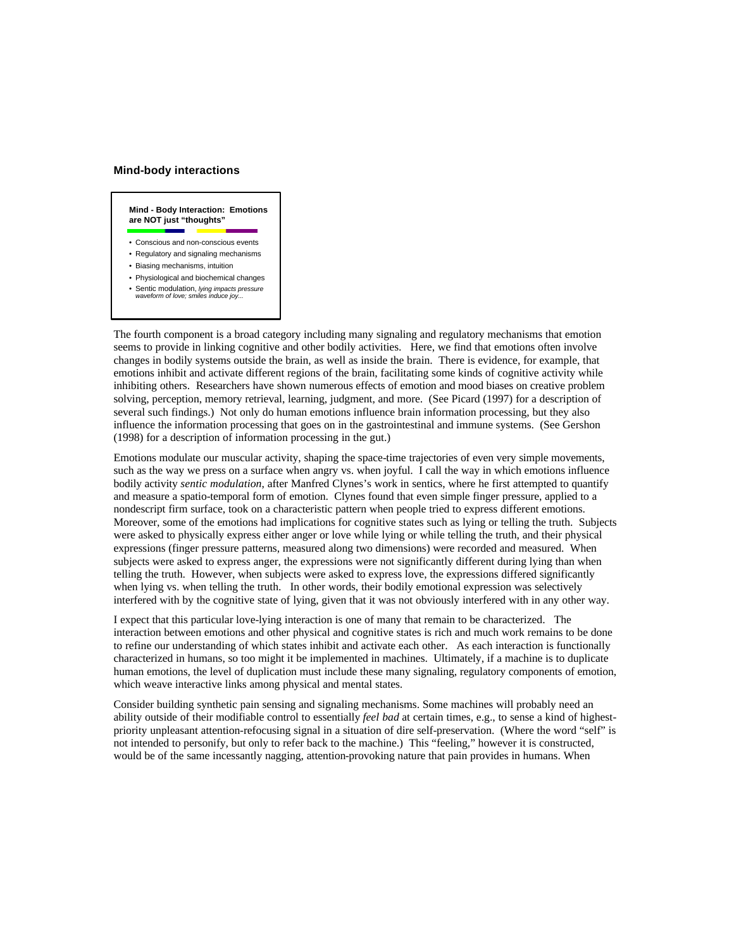#### **Mind-body interactions**



• Sentic modulation, *lying impacts pressure waveform of love; smiles induce joy...*

The fourth component is a broad category including many signaling and regulatory mechanisms that emotion seems to provide in linking cognitive and other bodily activities. Here, we find that emotions often involve changes in bodily systems outside the brain, as well as inside the brain. There is evidence, for example, that emotions inhibit and activate different regions of the brain, facilitating some kinds of cognitive activity while inhibiting others. Researchers have shown numerous effects of emotion and mood biases on creative problem solving, perception, memory retrieval, learning, judgment, and more. (See Picard (1997) for a description of several such findings.) Not only do human emotions influence brain information processing, but they also influence the information processing that goes on in the gastrointestinal and immune systems. (See Gershon (1998) for a description of information processing in the gut.)

Emotions modulate our muscular activity, shaping the space-time trajectories of even very simple movements, such as the way we press on a surface when angry vs. when joyful. I call the way in which emotions influence bodily activity *sentic modulation*, after Manfred Clynes's work in sentics, where he first attempted to quantify and measure a spatio-temporal form of emotion. Clynes found that even simple finger pressure, applied to a nondescript firm surface, took on a characteristic pattern when people tried to express different emotions. Moreover, some of the emotions had implications for cognitive states such as lying or telling the truth. Subjects were asked to physically express either anger or love while lying or while telling the truth, and their physical expressions (finger pressure patterns, measured along two dimensions) were recorded and measured. When subjects were asked to express anger, the expressions were not significantly different during lying than when telling the truth. However, when subjects were asked to express love, the expressions differed significantly when lying vs. when telling the truth. In other words, their bodily emotional expression was selectively interfered with by the cognitive state of lying, given that it was not obviously interfered with in any other way.

I expect that this particular love-lying interaction is one of many that remain to be characterized. The interaction between emotions and other physical and cognitive states is rich and much work remains to be done to refine our understanding of which states inhibit and activate each other. As each interaction is functionally characterized in humans, so too might it be implemented in machines. Ultimately, if a machine is to duplicate human emotions, the level of duplication must include these many signaling, regulatory components of emotion, which weave interactive links among physical and mental states.

Consider building synthetic pain sensing and signaling mechanisms. Some machines will probably need an ability outside of their modifiable control to essentially *feel bad* at certain times, e.g., to sense a kind of highestpriority unpleasant attention-refocusing signal in a situation of dire self-preservation. (Where the word "self" is not intended to personify, but only to refer back to the machine.) This "feeling," however it is constructed, would be of the same incessantly nagging, attention-provoking nature that pain provides in humans. When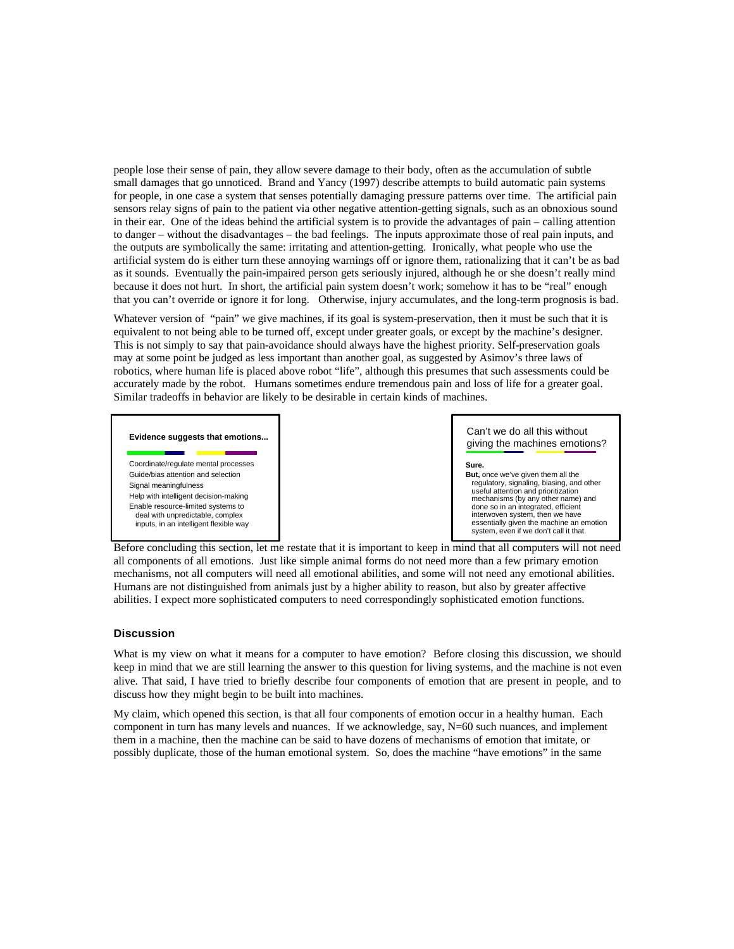people lose their sense of pain, they allow severe damage to their body, often as the accumulation of subtle small damages that go unnoticed. Brand and Yancy (1997) describe attempts to build automatic pain systems for people, in one case a system that senses potentially damaging pressure patterns over time. The artificial pain sensors relay signs of pain to the patient via other negative attention-getting signals, such as an obnoxious sound in their ear. One of the ideas behind the artificial system is to provide the advantages of pain – calling attention to danger – without the disadvantages – the bad feelings. The inputs approximate those of real pain inputs, and the outputs are symbolically the same: irritating and attention-getting. Ironically, what people who use the artificial system do is either turn these annoying warnings off or ignore them, rationalizing that it can't be as bad as it sounds. Eventually the pain-impaired person gets seriously injured, although he or she doesn't really mind because it does not hurt. In short, the artificial pain system doesn't work; somehow it has to be "real" enough that you can't override or ignore it for long. Otherwise, injury accumulates, and the long-term prognosis is bad.

Whatever version of "pain" we give machines, if its goal is system-preservation, then it must be such that it is equivalent to not being able to be turned off, except under greater goals, or except by the machine's designer. This is not simply to say that pain-avoidance should always have the highest priority. Self-preservation goals may at some point be judged as less important than another goal, as suggested by Asimov's three laws of robotics, where human life is placed above robot "life", although this presumes that such assessments could be accurately made by the robot. Humans sometimes endure tremendous pain and loss of life for a greater goal. Similar tradeoffs in behavior are likely to be desirable in certain kinds of machines.

**Evidence suggests that emotions...** Coordinate/regulate mental processes Guide/bias attention and selection Signal meaningfulness Help with intelligent decision-making Enable resource-limited systems to deal with unpredictable, complex

inputs, in an intelligent flexible way

Can't we do all this without giving the machines emotions?

**Sure.**

**But,** once we've given them all the regulatory, signaling, biasing, and other useful attention and prioritization mechanisms (by any other name) and done so in an integrated, efficient interwoven system, then we have essentially given the machine an emotion system, even if we don't call it that

Before concluding this section, let me restate that it is important to keep in mind that all computers will not need all components of all emotions. Just like simple animal forms do not need more than a few primary emotion mechanisms, not all computers will need all emotional abilities, and some will not need any emotional abilities. Humans are not distinguished from animals just by a higher ability to reason, but also by greater affective abilities. I expect more sophisticated computers to need correspondingly sophisticated emotion functions.

## **Discussion**

What is my view on what it means for a computer to have emotion? Before closing this discussion, we should keep in mind that we are still learning the answer to this question for living systems, and the machine is not even alive. That said, I have tried to briefly describe four components of emotion that are present in people, and to discuss how they might begin to be built into machines.

My claim, which opened this section, is that all four components of emotion occur in a healthy human. Each component in turn has many levels and nuances. If we acknowledge, say,  $N=60$  such nuances, and implement them in a machine, then the machine can be said to have dozens of mechanisms of emotion that imitate, or possibly duplicate, those of the human emotional system. So, does the machine "have emotions" in the same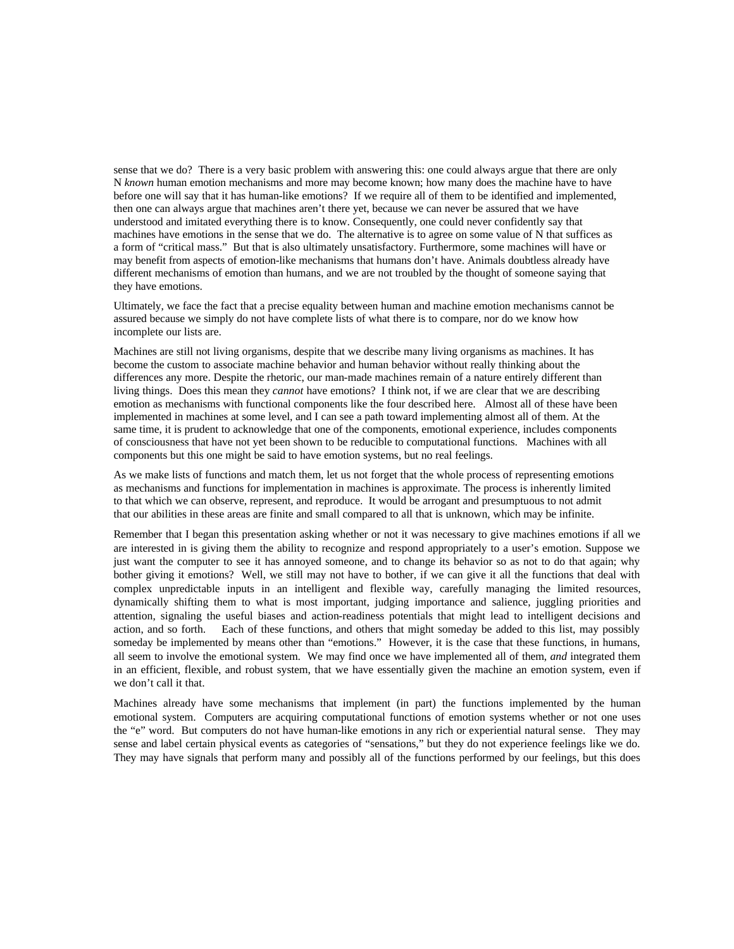sense that we do? There is a very basic problem with answering this: one could always argue that there are only N *known* human emotion mechanisms and more may become known; how many does the machine have to have before one will say that it has human-like emotions? If we require all of them to be identified and implemented, then one can always argue that machines aren't there yet, because we can never be assured that we have understood and imitated everything there is to know. Consequently, one could never confidently say that machines have emotions in the sense that we do. The alternative is to agree on some value of N that suffices as a form of "critical mass." But that is also ultimately unsatisfactory. Furthermore, some machines will have or may benefit from aspects of emotion-like mechanisms that humans don't have. Animals doubtless already have different mechanisms of emotion than humans, and we are not troubled by the thought of someone saying that they have emotions.

Ultimately, we face the fact that a precise equality between human and machine emotion mechanisms cannot be assured because we simply do not have complete lists of what there is to compare, nor do we know how incomplete our lists are.

Machines are still not living organisms, despite that we describe many living organisms as machines. It has become the custom to associate machine behavior and human behavior without really thinking about the differences any more. Despite the rhetoric, our man-made machines remain of a nature entirely different than living things. Does this mean they *cannot* have emotions? I think not, if we are clear that we are describing emotion as mechanisms with functional components like the four described here. Almost all of these have been implemented in machines at some level, and I can see a path toward implementing almost all of them. At the same time, it is prudent to acknowledge that one of the components, emotional experience, includes components of consciousness that have not yet been shown to be reducible to computational functions. Machines with all components but this one might be said to have emotion systems, but no real feelings.

As we make lists of functions and match them, let us not forget that the whole process of representing emotions as mechanisms and functions for implementation in machines is approximate. The process is inherently limited to that which we can observe, represent, and reproduce. It would be arrogant and presumptuous to not admit that our abilities in these areas are finite and small compared to all that is unknown, which may be infinite.

Remember that I began this presentation asking whether or not it was necessary to give machines emotions if all we are interested in is giving them the ability to recognize and respond appropriately to a user's emotion. Suppose we just want the computer to see it has annoyed someone, and to change its behavior so as not to do that again; why bother giving it emotions? Well, we still may not have to bother, if we can give it all the functions that deal with complex unpredictable inputs in an intelligent and flexible way, carefully managing the limited resources, dynamically shifting them to what is most important, judging importance and salience, juggling priorities and attention, signaling the useful biases and action-readiness potentials that might lead to intelligent decisions and action, and so forth. Each of these functions, and others that might someday be added to this list, may possibly someday be implemented by means other than "emotions." However, it is the case that these functions, in humans, all seem to involve the emotional system. We may find once we have implemented all of them, *and* integrated them in an efficient, flexible, and robust system, that we have essentially given the machine an emotion system, even if we don't call it that.

Machines already have some mechanisms that implement (in part) the functions implemented by the human emotional system. Computers are acquiring computational functions of emotion systems whether or not one uses the "e" word. But computers do not have human-like emotions in any rich or experiential natural sense. They may sense and label certain physical events as categories of "sensations," but they do not experience feelings like we do. They may have signals that perform many and possibly all of the functions performed by our feelings, but this does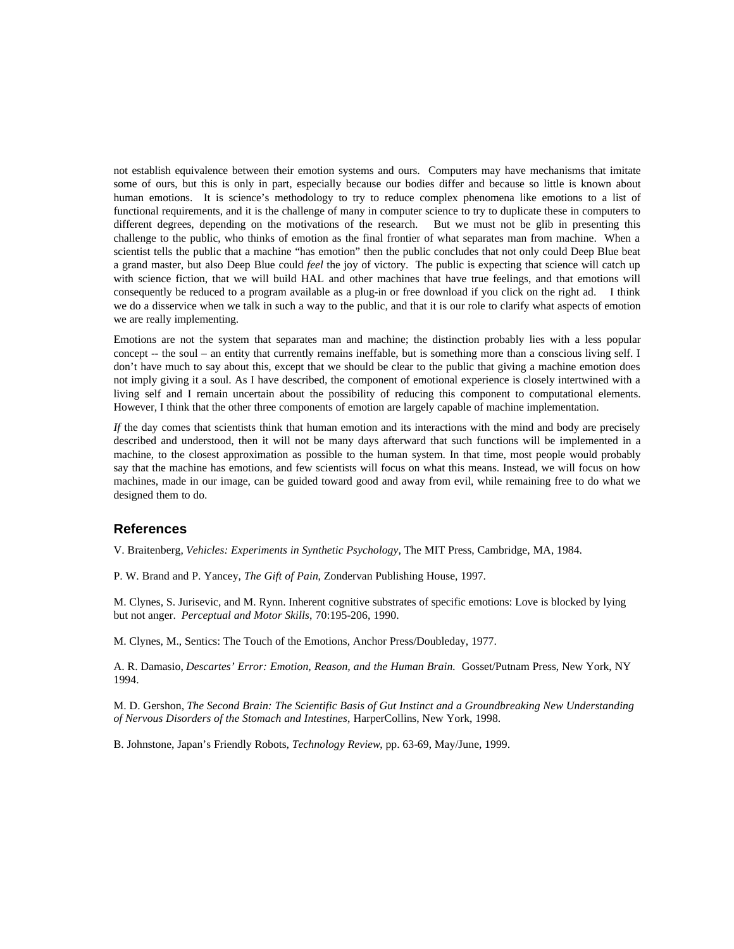not establish equivalence between their emotion systems and ours. Computers may have mechanisms that imitate some of ours, but this is only in part, especially because our bodies differ and because so little is known about human emotions. It is science's methodology to try to reduce complex phenomena like emotions to a list of functional requirements, and it is the challenge of many in computer science to try to duplicate these in computers to different degrees, depending on the motivations of the research. But we must not be glib in presenting this challenge to the public, who thinks of emotion as the final frontier of what separates man from machine. When a scientist tells the public that a machine "has emotion" then the public concludes that not only could Deep Blue beat a grand master, but also Deep Blue could *feel* the joy of victory. The public is expecting that science will catch up with science fiction, that we will build HAL and other machines that have true feelings, and that emotions will consequently be reduced to a program available as a plug-in or free download if you click on the right ad. I think we do a disservice when we talk in such a way to the public, and that it is our role to clarify what aspects of emotion we are really implementing.

Emotions are not the system that separates man and machine; the distinction probably lies with a less popular concept -- the soul – an entity that currently remains ineffable, but is something more than a conscious living self. I don't have much to say about this, except that we should be clear to the public that giving a machine emotion does not imply giving it a soul. As I have described, the component of emotional experience is closely intertwined with a living self and I remain uncertain about the possibility of reducing this component to computational elements. However, I think that the other three components of emotion are largely capable of machine implementation.

*If* the day comes that scientists think that human emotion and its interactions with the mind and body are precisely described and understood, then it will not be many days afterward that such functions will be implemented in a machine, to the closest approximation as possible to the human system. In that time, most people would probably say that the machine has emotions, and few scientists will focus on what this means. Instead, we will focus on how machines, made in our image, can be guided toward good and away from evil, while remaining free to do what we designed them to do.

## **References**

V. Braitenberg, *Vehicles: Experiments in Synthetic Psychology,* The MIT Press, Cambridge, MA, 1984.

P. W. Brand and P. Yancey, *The Gift of Pain*, Zondervan Publishing House, 1997.

M. Clynes, S. Jurisevic, and M. Rynn. Inherent cognitive substrates of specific emotions: Love is blocked by lying but not anger. *Perceptual and Motor Skills*, 70:195-206, 1990.

M. Clynes, M., Sentics: The Touch of the Emotions, Anchor Press/Doubleday, 1977.

A. R. Damasio, *Descartes' Error: Emotion, Reason, and the Human Brain.* Gosset/Putnam Press, New York, NY 1994.

M. D. Gershon, *The Second Brain: The Scientific Basis of Gut Instinct and a Groundbreaking New Understanding of Nervous Disorders of the Stomach and Intestines*, HarperCollins, New York, 1998.

B. Johnstone, Japan's Friendly Robots, *Technology Review*, pp. 63-69, May/June, 1999.